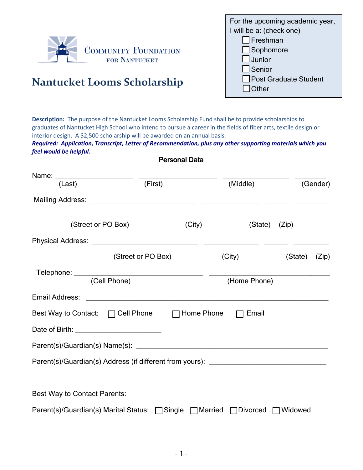

For the upcoming academic year, I will be a: (check one)  $\Box$ Freshman □ Sophomore  $\square$  Junior  $\Box$  Senior □ Post Graduate Student  $\Box$  Other

# **Nantucket Looms Scholarship**

**Description:** The purpose of the Nantucket Looms Scholarship Fund shall be to provide scholarships to graduates of Nantucket High School who intend to pursue a career in the fields of fiber arts, textile design or interior design. A \$2,500 scholarship will be awarded on an annual basis.

*Required: Application, Transcript, Letter of Recommendation, plus any other supporting materials which you feel would be helpful.* 

Personal Data

| (Last)                                                                                                                                                                                                                         | (First)                                                                                                              |        | (Middle)                                                          |         | (Gender) |
|--------------------------------------------------------------------------------------------------------------------------------------------------------------------------------------------------------------------------------|----------------------------------------------------------------------------------------------------------------------|--------|-------------------------------------------------------------------|---------|----------|
|                                                                                                                                                                                                                                |                                                                                                                      |        |                                                                   |         |          |
| (Street or PO Box)                                                                                                                                                                                                             |                                                                                                                      | (City) | (State) (Zip)                                                     |         |          |
|                                                                                                                                                                                                                                |                                                                                                                      |        |                                                                   |         |          |
|                                                                                                                                                                                                                                | (Street or PO Box)                                                                                                   |        | (City)                                                            | (State) | (Zip)    |
|                                                                                                                                                                                                                                |                                                                                                                      |        | (Home Phone)                                                      |         |          |
| Email Address:                                                                                                                                                                                                                 | <u> 1988 - Johann John Stein, markin fan it ferstjer fan de ferstjer fan it ferstjer fan it ferstjer fan it fers</u> |        |                                                                   |         |          |
| Best Way to Contact: □ Cell Phone □ □ Home Phone                                                                                                                                                                               |                                                                                                                      |        | Email                                                             |         |          |
|                                                                                                                                                                                                                                |                                                                                                                      |        |                                                                   |         |          |
|                                                                                                                                                                                                                                |                                                                                                                      |        |                                                                   |         |          |
| Parent(s)/Guardian(s) Address (if different from yours): ________________________                                                                                                                                              |                                                                                                                      |        |                                                                   |         |          |
| Best Way to Contact Parents: Letter and the control of the control of the control of the control of the control of the control of the control of the control of the control of the control of the control of the control of th |                                                                                                                      |        | <u> 1989 - Johann John Stone, Amerikaansk politiker (d. 1989)</u> |         |          |
| Parent(s)/Guardian(s) Marital Status: □ Single □ Married □ Divorced □ Widowed                                                                                                                                                  |                                                                                                                      |        |                                                                   |         |          |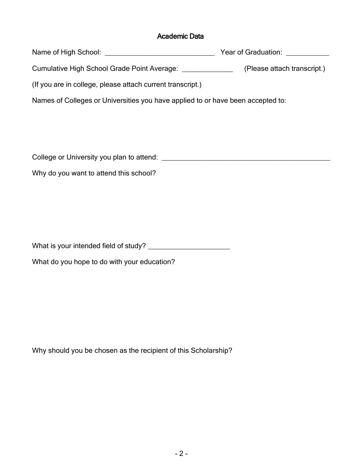#### Academic Data

Name of High School: \_\_\_\_\_\_\_\_\_\_\_\_\_\_\_\_\_\_\_\_\_\_\_\_\_\_\_\_ Year of Graduation: \_\_\_\_\_\_\_\_\_\_\_

Cumulative High School Grade Point Average: \_\_\_\_\_\_\_\_\_\_\_\_\_ (Please attach transcript.)

(If you are in college, please attach current transcript.)

Names of Colleges or Universities you have applied to or have been accepted to:

College or University you plan to attend:  $\blacksquare$ 

Why do you want to attend this school?

What is your intended field of study? \_\_\_\_\_\_\_\_\_\_\_\_\_\_\_\_\_\_\_\_\_

What do you hope to do with your education?

Why should you be chosen as the recipient of this Scholarship?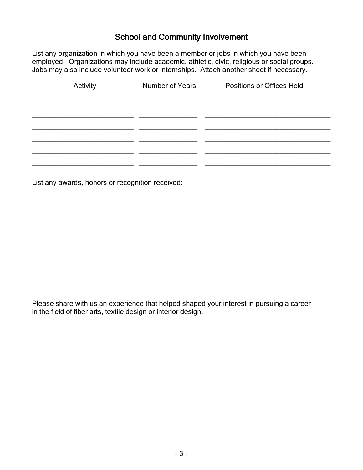## School and Community Involvement

List any organization in which you have been a member or jobs in which you have been employed. Organizations may include academic, athletic, civic, religious or social groups. Jobs may also include volunteer work or internships. Attach another sheet if necessary.

| <b>Activity</b> | <b>Number of Years</b> | Positions or Offices Held |
|-----------------|------------------------|---------------------------|
|                 |                        |                           |
|                 |                        |                           |
|                 |                        |                           |
|                 |                        |                           |
|                 |                        |                           |
|                 |                        |                           |
|                 |                        |                           |

List any awards, honors or recognition received:

Please share with us an experience that helped shaped your interest in pursuing a career in the field of fiber arts, textile design or interior design.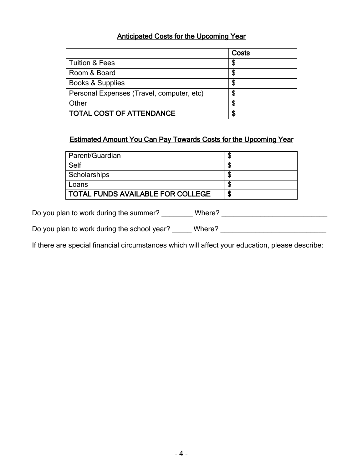#### Anticipated Costs for the Upcoming Year

|                                           | Costs |
|-------------------------------------------|-------|
| <b>Tuition &amp; Fees</b>                 | \$    |
| Room & Board                              | \$    |
| Books & Supplies                          | \$    |
| Personal Expenses (Travel, computer, etc) | \$    |
| Other                                     | \$    |
| <b>TOTAL COST OF ATTENDANCE</b>           | \$    |

### Estimated Amount You Can Pay Towards Costs for the Upcoming Year

| Parent/Guardian                          |    |
|------------------------------------------|----|
| Self                                     | J  |
| Scholarships                             | ۸D |
| Loans                                    | ۸D |
| <b>TOTAL FUNDS AVAILABLE FOR COLLEGE</b> | S  |

Do you plan to work during the summer? \_\_\_\_\_\_\_\_\_ Where? \_\_\_\_\_\_\_\_\_\_\_\_\_\_\_\_\_\_\_\_\_\_\_\_

Do you plan to work during the school year? \_\_\_\_\_\_ Where? \_\_\_\_\_\_\_\_\_\_\_\_\_\_\_\_\_\_\_\_\_\_

If there are special financial circumstances which will affect your education, please describe: